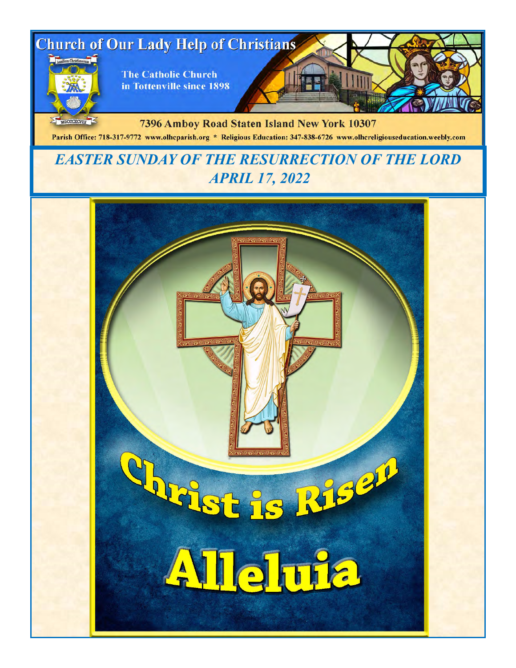

MDCCCXCVIII 7396 Amboy Road Staten Island New York 10307 Parish Office: 718-317-9772 www.olhcparish.org \* Religious Education: 347-838-6726 www.olhcreligiouseducation.weebly.com

# *EASTER SUNDAY OF THE RESURRECTION OF THE LORD APRIL 17, 2022*

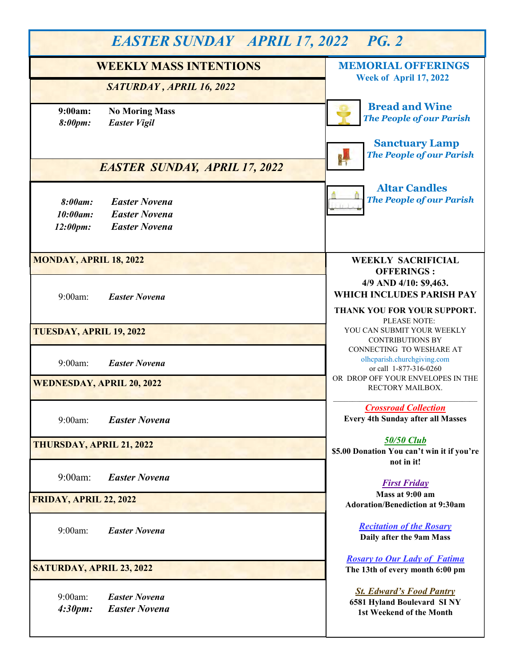| <b>EASTER SUNDAY APRIL 17, 2022 PG. 2</b>                                                               |                                                                                                                        |  |
|---------------------------------------------------------------------------------------------------------|------------------------------------------------------------------------------------------------------------------------|--|
| <b>WEEKLY MASS INTENTIONS</b>                                                                           | <b>MEMORIAL OFFERINGS</b><br><b>Week of April 17, 2022</b>                                                             |  |
| SATURDAY, APRIL 16, 2022<br>9:00am:<br><b>No Moring Mass</b>                                            | <b>Bread and Wine</b>                                                                                                  |  |
| <b>Easter Vigil</b><br>8:00pm:                                                                          | <b>The People of our Parish</b><br><b>Sanctuary Lamp</b>                                                               |  |
| <b>EASTER SUNDAY, APRIL 17, 2022</b>                                                                    | <b>The People of our Parish</b>                                                                                        |  |
| <b>Easter Novena</b><br>8:00am:<br><b>Easter Novena</b><br>10:00am:<br><b>Easter Novena</b><br>12:00pm: | <b>Altar Candles</b><br><b>The People of our Parish</b>                                                                |  |
| <b>MONDAY, APRIL 18, 2022</b>                                                                           | <b>WEEKLY SACRIFICIAL</b><br><b>OFFERINGS:</b>                                                                         |  |
| 9:00am:<br><b>Easter Novena</b>                                                                         | 4/9 AND 4/10: \$9,463.<br>WHICH INCLUDES PARISH PAY<br>THANK YOU FOR YOUR SUPPORT.<br>PLEASE NOTE:                     |  |
| TUESDAY, APRIL 19, 2022                                                                                 | YOU CAN SUBMIT YOUR WEEKLY<br><b>CONTRIBUTIONS BY</b>                                                                  |  |
| 9:00am:<br><b>Easter Novena</b>                                                                         | CONNECTING TO WESHARE AT<br>olhcparish.churchgiving.com<br>or call 1-877-316-0260<br>OR DROP OFF YOUR ENVELOPES IN THE |  |
| <b>WEDNESDAY, APRIL 20, 2022</b>                                                                        | RECTORY MAILBOX.                                                                                                       |  |
| 9:00am:<br><b>Easter Novena</b>                                                                         | <b>Crossroad Collection</b><br><b>Every 4th Sunday after all Masses</b>                                                |  |
| THURSDAY, APRIL 21, 2022                                                                                | <b>50/50 Club</b><br>\$5.00 Donation You can't win it if you're<br>not in it!                                          |  |
| $9:00$ am:<br><b>Easter Novena</b>                                                                      | <b>First Friday</b><br>Mass at 9:00 am                                                                                 |  |
| FRIDAY, APRIL 22, 2022                                                                                  | <b>Adoration/Benediction at 9:30am</b>                                                                                 |  |
| 9:00am:<br><b>Easter Novena</b>                                                                         | <b>Recitation of the Rosary</b><br>Daily after the 9am Mass                                                            |  |
| SATURDAY, APRIL 23, 2022                                                                                | <b>Rosary to Our Lady of Fatima</b><br>The 13th of every month 6:00 pm                                                 |  |
| <b>Easter Novena</b><br>9:00am<br>4:30pm:<br><b>Easter Novena</b>                                       | <b>St. Edward's Food Pantry</b><br>6581 Hyland Boulevard SINY<br>1st Weekend of the Month                              |  |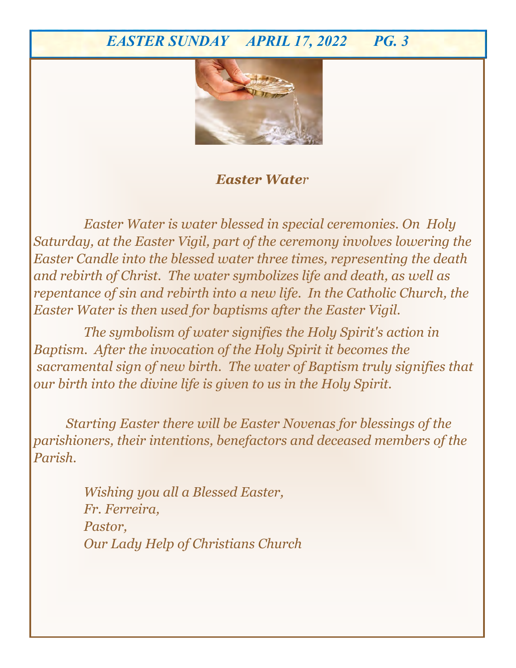# *EASTER SUNDAY APRIL 17, 2022 PG. 3*



## *Easter Water*

*Requested by Olivo and Fiorica Families Easter Water is water blessed in special ceremonies. On Holy Saturday, at the Easter Vigil, part of the ceremony involves lowering the Easter Candle into the blessed water three times, representing the death and rebirth of Christ. The water symbolizes life and death, as well as repentance of sin and rebirth into a new life. In the Catholic Church, the Easter Water is then used for baptisms after the Easter Vigil.* 

*The symbolism of water signifies the Holy Spirit's action in Baptism. After the invocation of the Holy Spirit it becomes the sacramental sign of new birth. The water of Baptism truly signifies that our birth into the divine life is given to us in the Holy Spirit.* 

 *Starting Easter there will be Easter Novenas for blessings of the parishioners, their intentions, benefactors and deceased members of the Parish.* 

> *Wishing you all a Blessed Easter, Fr. Ferreira, Pastor, Our Lady Help of Christians Church*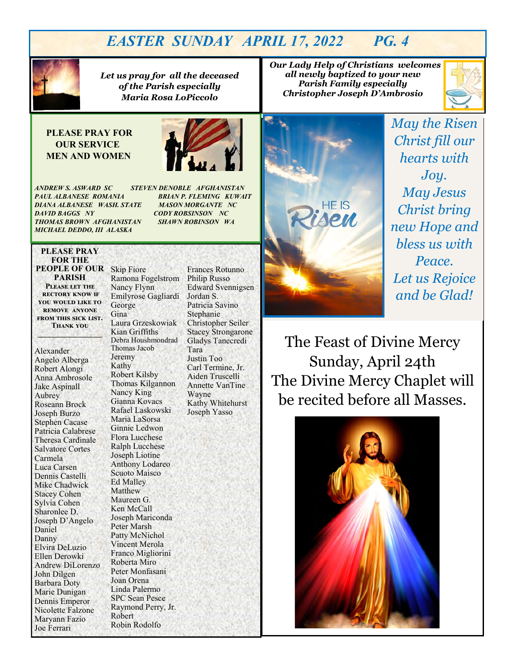# *EASTER SUNDAY APRIL 17, 2022 PG. 4*



*Let us pray for all the deceased of the Parish especially Maria Rosa LoPiccolo*

#### **PLEASE PRAY FOR OUR SERVICE MEN AND WOMEN**



*ANDREW S. ASWARD SC STEVEN DENOBLE AFGHANISTAN PAUL ALBANESE ROMANIA BRIAN P. FLEMING KUWAIT DIANA ALBANESE WASH. STATE MASON MORGANTE NC DAVID BAGGS NY CODY ROBSINSON NC THOMAS BROWN AFGHANISTAN SHAWN ROBINSON WA MICHAEL DEDDO, III ALASKA* 

#### **PLEASE PRAY FOR THE PEOPLE OF OUR PARISH Please let the rectory know if you would like to**

**remove anyone from this sick list. Thank you \_\_\_\_\_\_\_\_\_\_\_\_\_\_\_\_\_**

Alexander Angelo Alberga Robert Alongi Anna Ambrosole Jake Aspinall Aubrey Roseann Brock Joseph Burzo Stephen Cacase Patricia Calabrese Theresa Cardinale Salvatore Cortes Carmela Luca Carsen Dennis Castelli Mike Chadwick Stacey Cohen Sylvia Cohen Sharonlee D. Joseph D'Angelo Daniel Danny Elvira DeLuzio Ellen Derowki Andrew DiLorenzo John Dilgen Barbara Doty Marie Dunigan Dennis Emperor Nicolette Falzone Maryann Fazio Joe Ferrari

Skip Fiore Ramona Fogelstrom Nancy Flynn Emilyrose Gagliardi George Gina Laura Grzeskowiak Kian Griffiths Debra Houshmondrad Thomas Jacob Jeremy Kathy Robert Kilsby Thomas Kilgannon Nancy King Gianna Kovacs Rafael Laskowski Maria LaSorsa Ginnie Ledwon Flora Lucchese Ralph Lucchese Joseph Liotine Anthony Lodareo Scuoto Maisco Ed Malley Matthew Maureen G. Ken McCall Joseph Mariconda Peter Marsh Patty McNichol Vincent Merola Franco Migliorini Roberta Miro Peter Monfasani Joan Orena Linda Palermo SPC Sean Pesce Raymond Perry, Jr. Robert Robin Rodolfo

Frances Rotunno Philip Russo Edward Svennigsen Jordan S. Patricia Savino Stephanie Christopher Seiler Stacey Strongarone Gladys Tanecredi Tara Justin Too Carl Termine, Jr. Aiden Truscelli Annette VanTine Wayne Kathy Whitehurst Joseph Yasso

 *Our Lady Help of Christians welcomes all newly baptized to your new Parish Family especially Christopher Joseph D'Ambrosio*





*May the Risen Christ fill our hearts with Joy. May Jesus Christ bring new Hope and bless us with Peace. Let us Rejoice and be Glad!*

The Feast of Divine Mercy Sunday, April 24th The Divine Mercy Chaplet will be recited before all Masses.

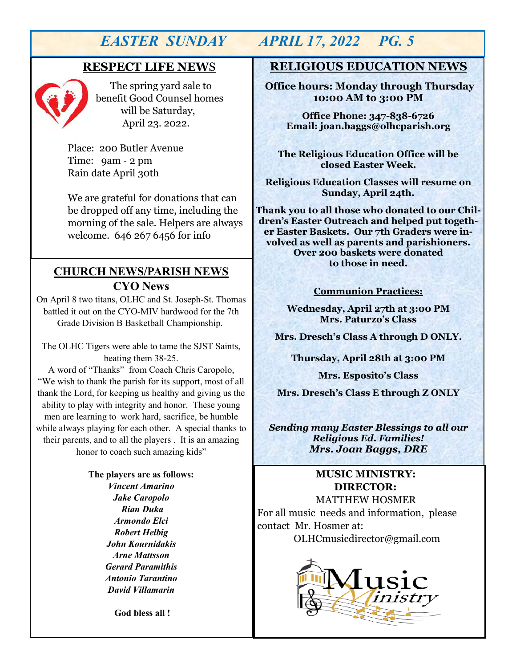### **RESPECT LIFE NEW**S



 The spring yard sale to benefit Good Counsel homes will be Saturday, April 23. 2022.

Place: 200 Butler Avenue Time: 9am - 2 pm Rain date April 30th

We are grateful for donations that can be dropped off any time, including the morning of the sale. Helpers are always welcome. 646 267 6456 for info

## **CHURCH NEWS/PARISH NEWS CYO News**

On April 8 two titans, OLHC and St. Joseph-St. Thomas battled it out on the CYO-MIV hardwood for the 7th Grade Division B Basketball Championship.

The OLHC Tigers were able to tame the SJST Saints, beating them 38-25.

A word of "Thanks" from Coach Chris Caropolo, "We wish to thank the parish for its support, most of all thank the Lord, for keeping us healthy and giving us the ability to play with integrity and honor. These young men are learning to work hard, sacrifice, be humble while always playing for each other. A special thanks to their parents, and to all the players . It is an amazing honor to coach such amazing kids"

> **The players are as follows:** *Vincent Amarino Jake Caropolo Rian Duka Armondo Elci Robert Helbig John Kournidakis Arne Mattsson Gerard Paramithis Antonio Tarantino David Villamarin*

> > **God bless all !**

# *EASTER SUNDAY APRIL 17, 2022 PG. 5*

## **RELIGIOUS EDUCATION NEWS**

**Office hours: Monday through Thursday 10:00 AM to 3:00 PM**

**Office Phone: 347-838-6726 Email: joan.baggs@olhcparish.org**

**The Religious Education Office will be closed Easter Week.** 

**Religious Education Classes will resume on Sunday, April 24th.**

**Thank you to all those who donated to our Children's Easter Outreach and helped put together Easter Baskets. Our 7th Graders were involved as well as parents and parishioners. Over 200 baskets were donated to those in need.** 

#### **Communion Practices:**

**Wednesday, April 27th at 3:00 PM Mrs. Paturzo's Class**

**Mrs. Dresch's Class A through D ONLY.** 

**Thursday, April 28th at 3:00 PM**

**Mrs. Esposito's Class** 

**Mrs. Dresch's Class E through Z ONLY** 

*Sending many Easter Blessings to all our Religious Ed. Families! Mrs. Joan Baggs, DRE*

#### **MUSIC MINISTRY: DIRECTOR:**

 MATTHEW HOSMER For all music needs and information, please contact Mr. Hosmer at:

OLHCmusicdirector@gmail.com